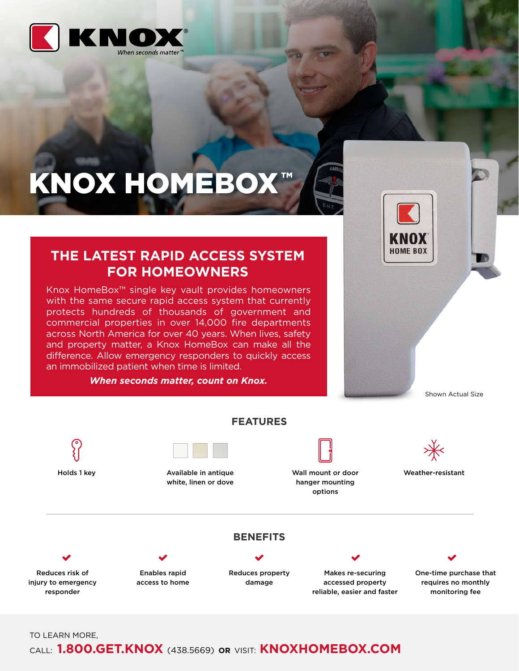

# KNOX HOMEBOX™



Shown Actual Size

# **THE LATEST RAPID ACCESS SYSTEM FOR HOMEOWNERS**

Knox HomeBox™ single key vault provides homeowners with the same secure rapid access system that currently protects hundreds of thousands of government and commercial properties in over 14,000 fire departments across North America for over 40 years. When lives, safety and property matter, a Knox HomeBox can make all the difference. Allow emergency responders to quickly access an immobilized patient when time is limited.

*When seconds matter, count on Knox.*



TO LEARN MORE,

## CALL: **1.800.GET.KNOX** (438.5669) **OR** VISIT: **KNOXHOMEBOX.COM**